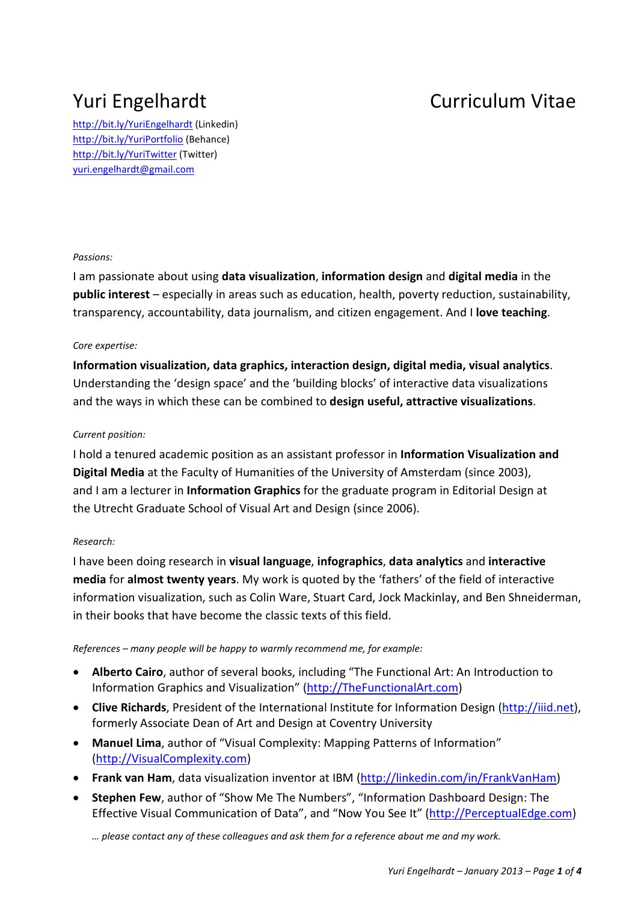# Yuri Engelhardt Curriculum Vitae

http://bit.ly/YuriEngelhardt (Linkedin) http://bit.ly/YuriPortfolio (Behance) http://bit.ly/YuriTwitter (Twitter) yuri.engelhardt@gmail.com

# *Passions:*

I am passionate about using **data visualization**, **information design** and **digital media** in the **public interest** – especially in areas such as education, health, poverty reduction, sustainability, transparency, accountability, data journalism, and citizen engagement. And I **love teaching**.

# *Core expertise:*

**Information visualization, data graphics, interaction design, digital media, visual analytics**. Understanding the 'design space' and the 'building blocks' of interactive data visualizations and the ways in which these can be combined to **design useful, attractive visualizations**.

# *Current position:*

I hold a tenured academic position as an assistant professor in **Information Visualization and Digital Media** at the Faculty of Humanities of the University of Amsterdam (since 2003), and I am a lecturer in **Information Graphics** for the graduate program in Editorial Design at the Utrecht Graduate School of Visual Art and Design (since 2006).

# *Research:*

I have been doing research in **visual language**, **infographics**, **data analytics** and **interactive media** for **almost twenty years**. My work is quoted by the 'fathers' of the field of interactive information visualization, such as Colin Ware, Stuart Card, Jock Mackinlay, and Ben Shneiderman, in their books that have become the classic texts of this field.

*References – many people will be happy to warmly recommend me, for example:* 

- **Alberto Cairo**, author of several books, including "The Functional Art: An Introduction to Information Graphics and Visualization" (http://TheFunctionalArt.com)
- **Clive Richards**, President of the International Institute for Information Design (http://iiid.net), formerly Associate Dean of Art and Design at Coventry University
- **Manuel Lima**, author of "Visual Complexity: Mapping Patterns of Information" (http://VisualComplexity.com)
- **Frank van Ham**, data visualization inventor at IBM (http://linkedin.com/in/FrankVanHam)
- **Stephen Few**, author of "Show Me The Numbers", "Information Dashboard Design: The Effective Visual Communication of Data", and "Now You See It" (http://PerceptualEdge.com)

*… please contact any of these colleagues and ask them for a reference about me and my work.*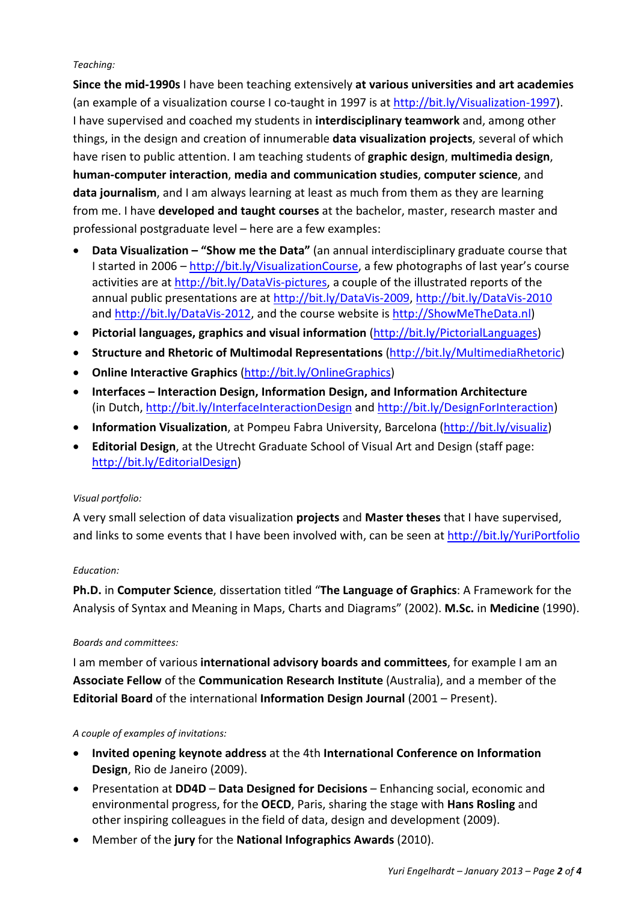### *Teaching:*

**Since the mid-1990s** I have been teaching extensively **at various universities and art academies** (an example of a visualization course I co-taught in 1997 is at http://bit.ly/Visualization-1997). I have supervised and coached my students in **interdisciplinary teamwork** and, among other things, in the design and creation of innumerable **data visualization projects**, several of which have risen to public attention. I am teaching students of **graphic design**, **multimedia design**, **human-computer interaction**, **media and communication studies**, **computer science**, and **data journalism**, and I am always learning at least as much from them as they are learning from me. I have **developed and taught courses** at the bachelor, master, research master and professional postgraduate level – here are a few examples:

- **Data Visualization "Show me the Data"** (an annual interdisciplinary graduate course that I started in 2006 – http://bit.ly/VisualizationCourse, a few photographs of last year's course activities are at http://bit.ly/DataVis-pictures, a couple of the illustrated reports of the annual public presentations are at http://bit.ly/DataVis-2009, http://bit.ly/DataVis-2010 and http://bit.ly/DataVis-2012, and the course website is http://ShowMeTheData.nl)
- **Pictorial languages, graphics and visual information** (http://bit.ly/PictorialLanguages)
- **Structure and Rhetoric of Multimodal Representations** (http://bit.ly/MultimediaRhetoric)
- **Online Interactive Graphics** (http://bit.ly/OnlineGraphics)
- **Interfaces Interaction Design, Information Design, and Information Architecture** (in Dutch, http://bit.ly/InterfaceInteractionDesign and http://bit.ly/DesignForInteraction)
- **Information Visualization**, at Pompeu Fabra University, Barcelona (http://bit.ly/visualiz)
- **Editorial Design**, at the Utrecht Graduate School of Visual Art and Design (staff page: http://bit.ly/EditorialDesign)

# *Visual portfolio:*

A very small selection of data visualization **projects** and **Master theses** that I have supervised, and links to some events that I have been involved with, can be seen at http://bit.ly/YuriPortfolio

# *Education:*

**Ph.D.** in **Computer Science**, dissertation titled "**The Language of Graphics**: A Framework for the Analysis of Syntax and Meaning in Maps, Charts and Diagrams" (2002). **M.Sc.** in **Medicine** (1990).

# *Boards and committees:*

I am member of various **international advisory boards and committees**, for example I am an **Associate Fellow** of the **Communication Research Institute** (Australia), and a member of the **Editorial Board** of the international **Information Design Journal** (2001 – Present).

# *A couple of examples of invitations:*

- **Invited opening keynote address** at the 4th **International Conference on Information Design**, Rio de Janeiro (2009).
- Presentation at **DD4D Data Designed for Decisions**  Enhancing social, economic and environmental progress, for the **OECD**, Paris, sharing the stage with **Hans Rosling** and other inspiring colleagues in the field of data, design and development (2009).
- Member of the **jury** for the **National Infographics Awards** (2010).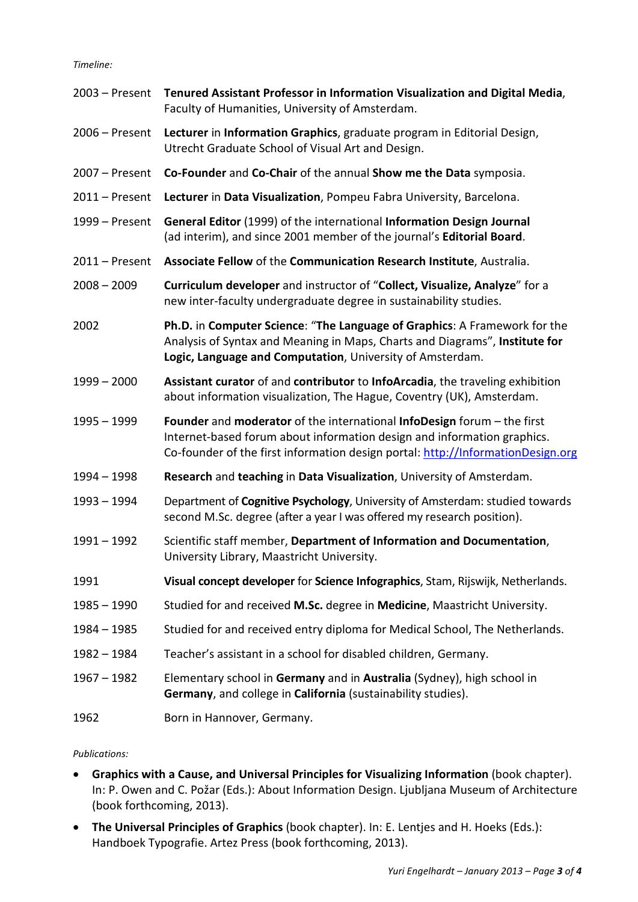*Timeline:* 

| $2003 -$ Present | Tenured Assistant Professor in Information Visualization and Digital Media,<br>Faculty of Humanities, University of Amsterdam.                                                                                                        |
|------------------|---------------------------------------------------------------------------------------------------------------------------------------------------------------------------------------------------------------------------------------|
| 2006 - Present   | Lecturer in Information Graphics, graduate program in Editorial Design,<br>Utrecht Graduate School of Visual Art and Design.                                                                                                          |
| 2007 - Present   | Co-Founder and Co-Chair of the annual Show me the Data symposia.                                                                                                                                                                      |
| $2011 -$ Present | Lecturer in Data Visualization, Pompeu Fabra University, Barcelona.                                                                                                                                                                   |
| 1999 - Present   | General Editor (1999) of the international Information Design Journal<br>(ad interim), and since 2001 member of the journal's Editorial Board.                                                                                        |
| $2011 -$ Present | Associate Fellow of the Communication Research Institute, Australia.                                                                                                                                                                  |
| $2008 - 2009$    | Curriculum developer and instructor of "Collect, Visualize, Analyze" for a<br>new inter-faculty undergraduate degree in sustainability studies.                                                                                       |
| 2002             | Ph.D. in Computer Science: "The Language of Graphics: A Framework for the<br>Analysis of Syntax and Meaning in Maps, Charts and Diagrams", Institute for<br>Logic, Language and Computation, University of Amsterdam.                 |
| $1999 - 2000$    | Assistant curator of and contributor to InfoArcadia, the traveling exhibition<br>about information visualization, The Hague, Coventry (UK), Amsterdam.                                                                                |
| $1995 - 1999$    | Founder and moderator of the international InfoDesign forum - the first<br>Internet-based forum about information design and information graphics.<br>Co-founder of the first information design portal: http://InformationDesign.org |
| 1994 - 1998      | Research and teaching in Data Visualization, University of Amsterdam.                                                                                                                                                                 |
| 1993 - 1994      | Department of Cognitive Psychology, University of Amsterdam: studied towards<br>second M.Sc. degree (after a year I was offered my research position).                                                                                |
| $1991 - 1992$    | Scientific staff member, Department of Information and Documentation,<br>University Library, Maastricht University.                                                                                                                   |
| 1991             | Visual concept developer for Science Infographics, Stam, Rijswijk, Netherlands.                                                                                                                                                       |
| 1985 - 1990      | Studied for and received M.Sc. degree in Medicine, Maastricht University.                                                                                                                                                             |
| $1984 - 1985$    | Studied for and received entry diploma for Medical School, The Netherlands.                                                                                                                                                           |
| 1982 - 1984      | Teacher's assistant in a school for disabled children, Germany.                                                                                                                                                                       |
| $1967 - 1982$    | Elementary school in Germany and in Australia (Sydney), high school in<br>Germany, and college in California (sustainability studies).                                                                                                |
| 1962             | Born in Hannover, Germany.                                                                                                                                                                                                            |

# *Publications:*

- **Graphics with a Cause, and Universal Principles for Visualizing Information** (book chapter). In: P. Owen and C. Požar (Eds.): About Information Design. Ljubljana Museum of Architecture (book forthcoming, 2013).
- **The Universal Principles of Graphics** (book chapter). In: E. Lentjes and H. Hoeks (Eds.): Handboek Typografie. Artez Press (book forthcoming, 2013).